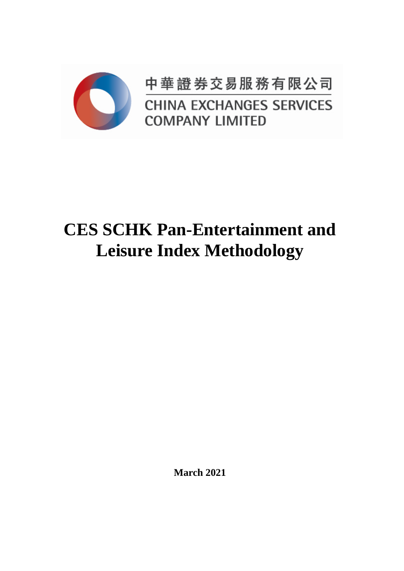

中華證券交易服務有限公司 **CHINA EXCHANGES SERVICES COMPANY LIMITED** 

# **CES SCHK Pan-Entertainment and Leisure Index Methodology**

**March 2021**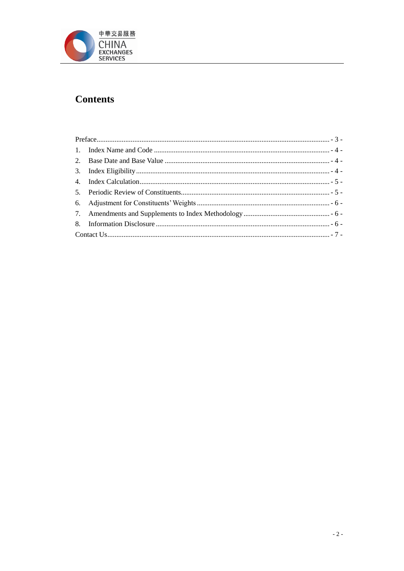

## **Contents**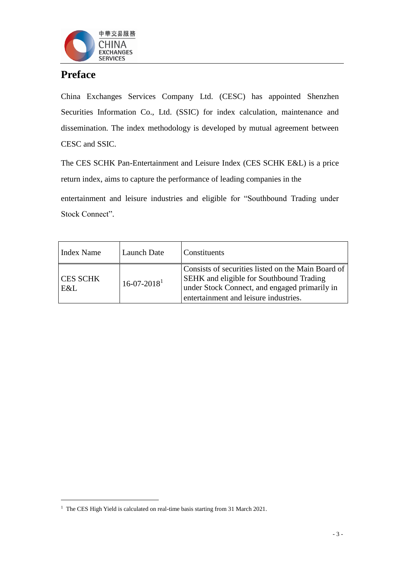

## <span id="page-2-0"></span>**Preface**

l

China Exchanges Services Company Ltd. (CESC) has appointed Shenzhen Securities Information Co., Ltd. (SSIC) for index calculation, maintenance and dissemination. The index methodology is developed by mutual agreement between CESC and SSIC.

The CES SCHK Pan-Entertainment and Leisure Index (CES SCHK E&L) is a price return index, aims to capture the performance of leading companies in the

entertainment and leisure industries and eligible for "Southbound Trading under Stock Connect".

| Index Name             | Launch Date                   | Constituents                                                                                                                                                                                    |
|------------------------|-------------------------------|-------------------------------------------------------------------------------------------------------------------------------------------------------------------------------------------------|
| <b>CES SCHK</b><br>E&L | $16 - 07 - 2018$ <sup>1</sup> | Consists of securities listed on the Main Board of<br><b>SEHK</b> and eligible for Southbound Trading<br>under Stock Connect, and engaged primarily in<br>entertainment and leisure industries. |

<sup>&</sup>lt;sup>1</sup> The CES High Yield is calculated on real-time basis starting from 31 March 2021.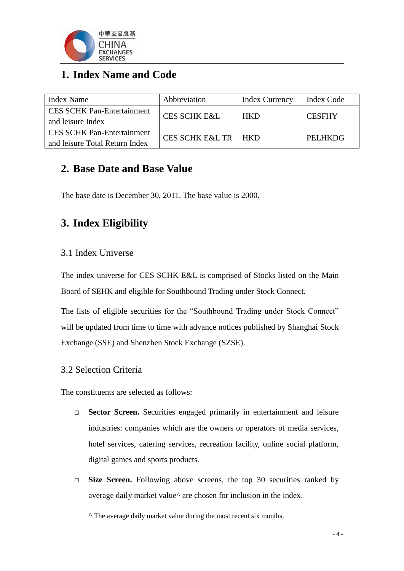

# <span id="page-3-0"></span>**1. Index Name and Code**

| <b>Index Name</b>                                                   | Abbreviation               | <b>Index Currency</b> | Index Code     |
|---------------------------------------------------------------------|----------------------------|-----------------------|----------------|
| <b>CES SCHK Pan-Entertainment</b><br>and leisure Index              | <b>CES SCHK E&amp;L</b>    | <b>HKD</b>            | <b>CESFHY</b>  |
| <b>CES SCHK Pan-Entertainment</b><br>and leisure Total Return Index | <b>CES SCHK E&amp;L TR</b> | l hkd                 | <b>PELHKDG</b> |

## <span id="page-3-1"></span>**2. Base Date and Base Value**

The base date is December 30, 2011. The base value is 2000.

## <span id="page-3-2"></span>**3. Index Eligibility**

#### 3.1 Index Universe

The index universe for CES SCHK E&L is comprised of Stocks listed on the Main Board of SEHK and eligible for Southbound Trading under Stock Connect.

The lists of eligible securities for the "Southbound Trading under Stock Connect" will be updated from time to time with advance notices published by Shanghai Stock Exchange (SSE) and Shenzhen Stock Exchange (SZSE).

### 3.2 Selection Criteria

The constituents are selected as follows:

- □ **Sector Screen.** Securities engaged primarily in entertainment and leisure industries: companies which are the owners or operators of media services, hotel services, catering services, recreation facility, online social platform, digital games and sports products.
- □ **Size Screen.** Following above screens, the top 30 securities ranked by average daily market value^ are chosen for inclusion in the index.

 $\wedge$  The average daily market value during the most recent six months.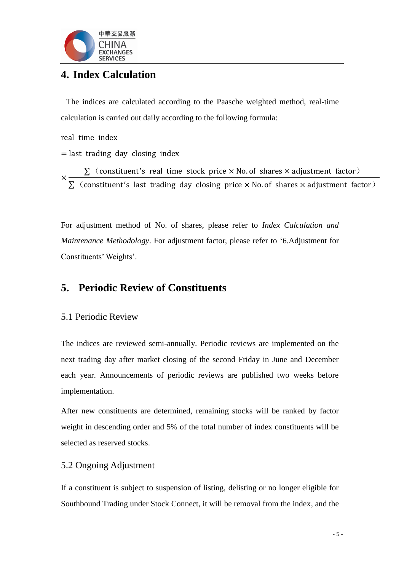

## <span id="page-4-0"></span>**4. Index Calculation**

The indices are calculated according to the Paasche weighted method, real-time calculation is carried out daily according to the following formula:

real time index

 $=$  last trading day closing index

×  $\Sigma$  (constituent's real time stock price  $\times$  No. of shares  $\times$  adjustment factor)  $\Sigma$  (constituent's last trading day closing price  $\times$  No. of shares  $\times$  adjustment factor)

For adjustment method of No. of shares, please refer to *Index Calculation and Maintenance Methodology*. For adjustment factor, please refer to '6.Adjustment for Constituents' Weights'.

## <span id="page-4-1"></span>**5. Periodic Review of Constituents**

#### 5.1 Periodic Review

The indices are reviewed semi-annually. Periodic reviews are implemented on the next trading day after market closing of the second Friday in June and December each year. Announcements of periodic reviews are published two weeks before implementation.

After new constituents are determined, remaining stocks will be ranked by factor weight in descending order and 5% of the total number of index constituents will be selected as reserved stocks.

#### 5.2 Ongoing Adjustment

If a constituent is subject to suspension of listing, delisting or no longer eligible for Southbound Trading under Stock Connect, it will be removal from the index, and the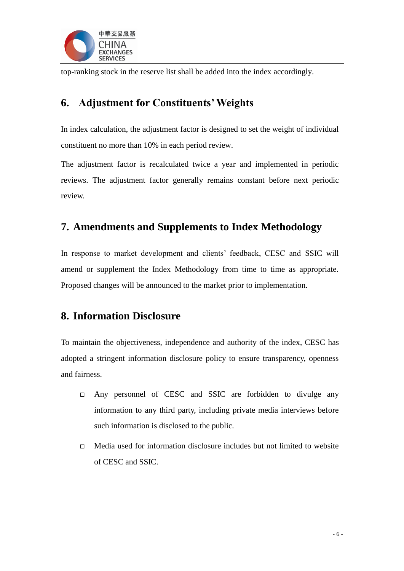

top-ranking stock in the reserve list shall be added into the index accordingly.

## <span id="page-5-0"></span>**6. Adjustment for Constituents' Weights**

In index calculation, the adjustment factor is designed to set the weight of individual constituent no more than 10% in each period review.

The adjustment factor is recalculated twice a year and implemented in periodic reviews. The adjustment factor generally remains constant before next periodic review.

## <span id="page-5-1"></span>**7. Amendments and Supplements to Index Methodology**

In response to market development and clients' feedback, CESC and SSIC will amend or supplement the Index Methodology from time to time as appropriate. Proposed changes will be announced to the market prior to implementation.

## <span id="page-5-2"></span>**8. Information Disclosure**

To maintain the objectiveness, independence and authority of the index, CESC has adopted a stringent information disclosure policy to ensure transparency, openness and fairness.

- Any personnel of CESC and SSIC are forbidden to divulge any information to any third party, including private media interviews before such information is disclosed to the public.
- $\Box$  Media used for information disclosure includes but not limited to website of CESC and SSIC.